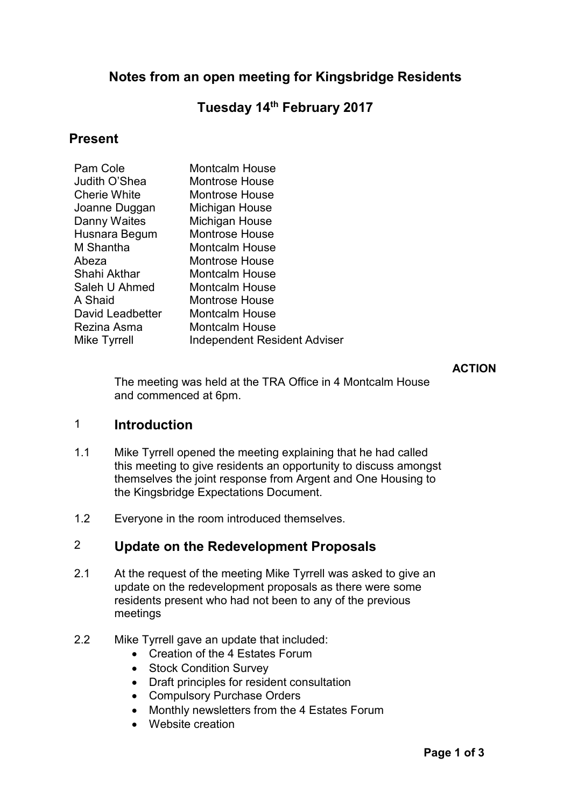## Notes from an open meeting for Kingsbridge Residents

# Tuesday 14th February 2017

## Present

**ACTION** 

 The meeting was held at the TRA Office in 4 Montcalm House and commenced at 6pm.

#### 1 Introduction

- 1.1 Mike Tyrrell opened the meeting explaining that he had called this meeting to give residents an opportunity to discuss amongst themselves the joint response from Argent and One Housing to the Kingsbridge Expectations Document.
- 1.2 Everyone in the room introduced themselves.

#### 2 Update on the Redevelopment Proposals

- 2.1 At the request of the meeting Mike Tyrrell was asked to give an update on the redevelopment proposals as there were some residents present who had not been to any of the previous meetings
- 2.2 Mike Tyrrell gave an update that included:
	- Creation of the 4 Estates Forum
	- Stock Condition Survey
	- Draft principles for resident consultation
	- Compulsory Purchase Orders
	- Monthly newsletters from the 4 Estates Forum
	- Website creation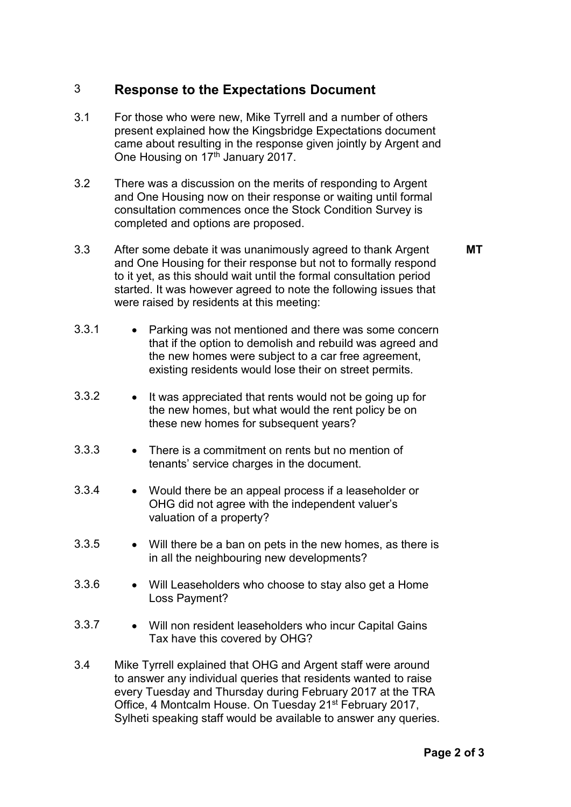### 3 Response to the Expectations Document

- 3.1 For those who were new, Mike Tyrrell and a number of others present explained how the Kingsbridge Expectations document came about resulting in the response given jointly by Argent and One Housing on 17<sup>th</sup> January 2017.
- 3.2 There was a discussion on the merits of responding to Argent and One Housing now on their response or waiting until formal consultation commences once the Stock Condition Survey is completed and options are proposed.
- 3.3 After some debate it was unanimously agreed to thank Argent and One Housing for their response but not to formally respond to it yet, as this should wait until the formal consultation period started. It was however agreed to note the following issues that were raised by residents at this meeting:
- 3.3.1 Parking was not mentioned and there was some concern that if the option to demolish and rebuild was agreed and the new homes were subject to a car free agreement, existing residents would lose their on street permits.
- 3.3.2 It was appreciated that rents would not be going up for the new homes, but what would the rent policy be on these new homes for subsequent years?
- 3.3.3 There is a commitment on rents but no mention of tenants' service charges in the document.
- 3.3.4 Would there be an appeal process if a leaseholder or OHG did not agree with the independent valuer's valuation of a property?
- 3.3.5 Will there be a ban on pets in the new homes, as there is in all the neighbouring new developments?
- 3.3.6 Will Leaseholders who choose to stay also get a Home Loss Payment?
- 3.3.7 Will non resident leaseholders who incur Capital Gains Tax have this covered by OHG?
- 3.4 Mike Tyrrell explained that OHG and Argent staff were around to answer any individual queries that residents wanted to raise every Tuesday and Thursday during February 2017 at the TRA Office, 4 Montcalm House. On Tuesday 21<sup>st</sup> February 2017, Sylheti speaking staff would be available to answer any queries.

MT